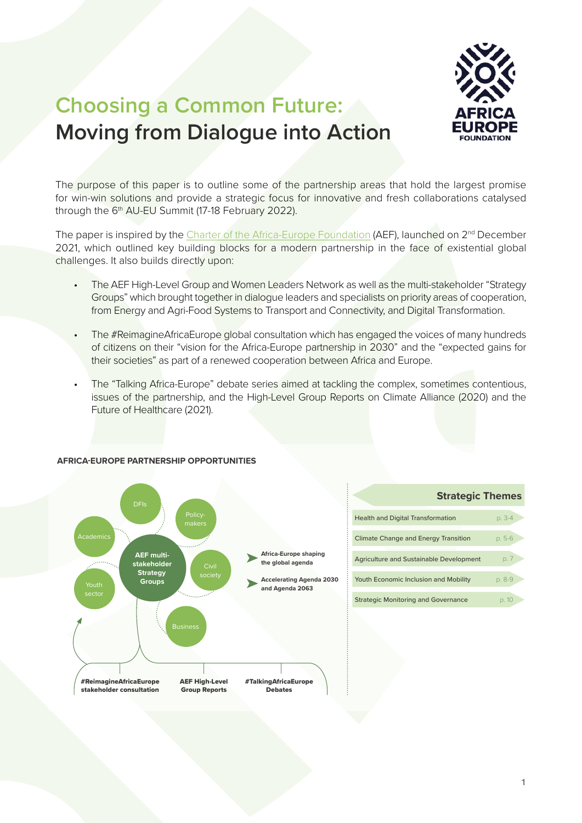

## **Choosing a Common Future: Moving from Dialogue into Action**

The purpose of this paper is to outline some of the partnership areas that hold the largest promise for win-win solutions and provide a strategic focus for innovative and fresh collaborations catalysed through the 6<sup>th</sup> AU-EU Summit (17-18 February 2022).

The paper is inspired by the [Charter of the Africa-Europe Foundation](https://www.africaeuropefoundation.org/AEF-Charter.pdf) (AEF), launched on 2<sup>nd</sup> December 2021, which outlined key building blocks for a modern partnership in the face of existential global challenges. It also builds directly upon:

- The AEF High-Level Group and Women Leaders Network as well as the multi-stakeholder "Strategy Groups" which brought together in dialogue leaders and specialists on priority areas of cooperation, from Energy and Agri-Food Systems to Transport and Connectivity, and Digital Transformation.
- The #ReimagineAfricaEurope global consultation which has engaged the voices of many hundreds of citizens on their "vision for the Africa-Europe partnership in 2030" and the "expected gains for their societies" as part of a renewed cooperation between Africa and Europe.
- The "Talking Africa-Europe" debate series aimed at tackling the complex, sometimes contentious, issues of the partnership, and the High-Level Group Reports on Climate Alliance (2020) and the Future of Healthcare (2021).



#### **AFRICA-EUROPE PARTNERSHIP OPPORTUNITIES**

|                                                | <b>Strategic Themes</b> |        |
|------------------------------------------------|-------------------------|--------|
| <b>Health and Digital Transformation</b>       |                         | p. 3-4 |
| <b>Climate Change and Energy Transition</b>    |                         | p. 5-6 |
| <b>Agriculture and Sustainable Development</b> |                         | p. 7   |
| Youth Economic Inclusion and Mobility          |                         | p. 8-9 |
| <b>Strategic Monitoring and Governance</b>     |                         |        |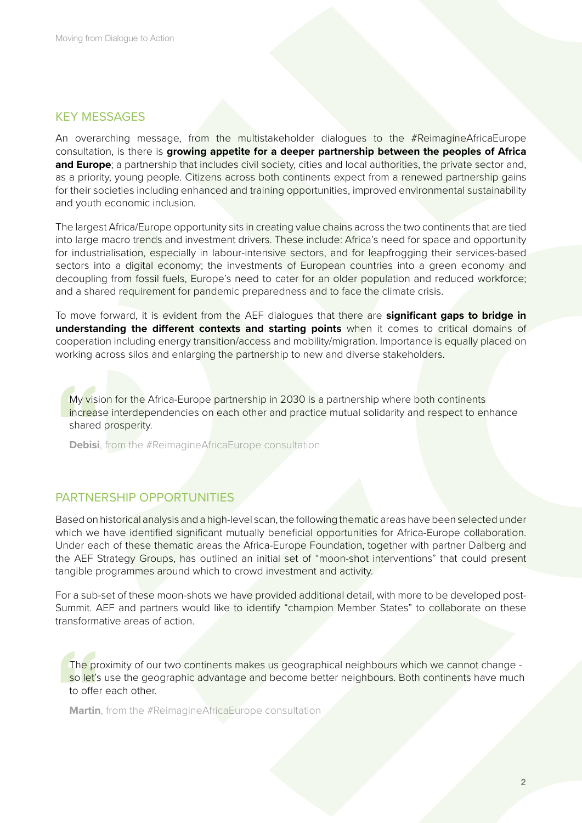### KEY MESSAGES

An overarching message, from the multistakeholder dialogues to the #ReimagineAfricaEurope consultation, is there is **growing appetite for a deeper partnership between the peoples of Africa and Europe**; a partnership that includes civil society, cities and local authorities, the private sector and, as a priority, young people. Citizens across both continents expect from a renewed partnership gains for their societies including enhanced and training opportunities, improved environmental sustainability and youth economic inclusion.

The largest Africa/Europe opportunity sits in creating value chains across the two continents that are tied into large macro trends and investment drivers. These include: Africa's need for space and opportunity for industrialisation, especially in labour-intensive sectors, and for leapfrogging their services-based sectors into a digital economy; the investments of European countries into a green economy and decoupling from fossil fuels, Europe's need to cater for an older population and reduced workforce; and a shared requirement for pandemic preparedness and to face the climate crisis.

To move forward, it is evident from the AEF dialogues that there are **significant gaps to bridge in understanding the different contexts and starting points** when it comes to critical domains of cooperation including energy transition/access and mobility/migration. Importance is equally placed on working across silos and enlarging the partnership to new and diverse stakeholders.

My visi<br>
increas<br>
shared<br>
Debisi My vision for the Africa-Europe partnership in 2030 is a partnership where both continents increase interdependencies on each other and practice mutual solidarity and respect to enhance shared prosperity.

**Debisi**, from the #ReimagineAfricaEurope consultation

## PARTNERSHIP OPPORTUNITIES

Based on historical analysis and a high-level scan, the following thematic areas have been selected under which we have identified significant mutually beneficial opportunities for Africa-Europe collaboration. Under each of these thematic areas the Africa-Europe Foundation, together with partner Dalberg and the AEF Strategy Groups, has outlined an initial set of "moon-shot interventions" that could present tangible programmes around which to crowd investment and activity.

For a sub-set of these moon-shots we have provided additional detail, with more to be developed post-Summit. AEF and partners would like to identify "champion Member States" to collaborate on these transformative areas of action.

The prisolet's<br>so let's<br>to offer<br>Martin The proximity of our two continents makes us geographical neighbours which we cannot change so let's use the geographic advantage and become better neighbours. Both continents have much to offer each other.

**Martin**, from the #ReimagineAfricaEurope consultation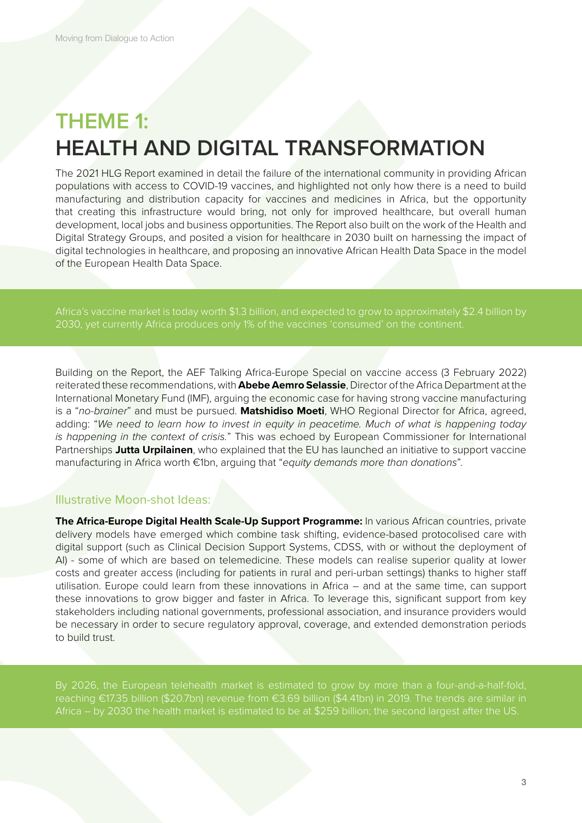# **THEME 1: HEALTH AND DIGITAL TRANSFORMATION**

The 2021 HLG Report examined in detail the failure of the international community in providing African populations with access to COVID-19 vaccines, and highlighted not only how there is a need to build manufacturing and distribution capacity for vaccines and medicines in Africa, but the opportunity that creating this infrastructure would bring, not only for improved healthcare, but overall human development, local jobs and business opportunities. The Report also built on the work of the Health and Digital Strategy Groups, and posited a vision for healthcare in 2030 built on harnessing the impact of digital technologies in healthcare, and proposing an innovative African Health Data Space in the model of the European Health Data Space.

Africa's vaccine market is today worth \$1.3 billion, and expected to grow to approximately \$2.4 billion by

Building on the Report, the AEF Talking Africa-Europe Special on vaccine access (3 February 2022) reiterated these recommendations, with **Abebe Aemro Selassie**, Director of the Africa Department at the International Monetary Fund (IMF), arguing the economic case for having strong vaccine manufacturing is a "*no-brainer*" and must be pursued. **Matshidiso Moeti**, WHO Regional Director for Africa, agreed, adding: "*We need to learn how to invest in equity in peacetime. Much of what is happening today is happening in the context of crisis.*" This was echoed by European Commissioner for International Partnerships **Jutta Urpilainen**, who explained that the EU has launched an initiative to support vaccine manufacturing in Africa worth €1bn, arguing that "*equity demands more than donations*".

## Illustrative Moon-shot Ideas:

**The Africa-Europe Digital Health Scale-Up Support Programme:** In various African countries, private delivery models have emerged which combine task shifting, evidence-based protocolised care with digital support (such as Clinical Decision Support Systems, CDSS, with or without the deployment of AI) - some of which are based on telemedicine. These models can realise superior quality at lower costs and greater access (including for patients in rural and peri-urban settings) thanks to higher staff utilisation. Europe could learn from these innovations in Africa – and at the same time, can support these innovations to grow bigger and faster in Africa. To leverage this, significant support from key stakeholders including national governments, professional association, and insurance providers would be necessary in order to secure regulatory approval, coverage, and extended demonstration periods to build trust.

reaching €17.35 billion (\$20.7bn) revenue from €3.69 billion (\$4.41bn) in 2019. The trends are similar in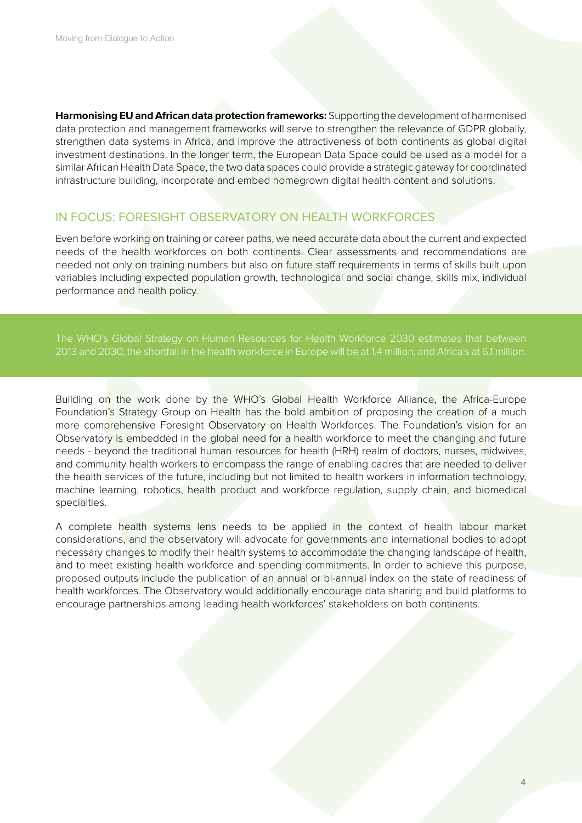**Harmonising EU and African data protection frameworks:** Supporting the development of harmonised data protection and management frameworks will serve to strengthen the relevance of GDPR globally, strengthen data systems in Africa, and improve the attractiveness of both continents as global digital investment destinations. In the longer term, the European Data Space could be used as a model for a similar African Health Data Space, the two data spaces could provide a strategic gateway for coordinated infrastructure building, incorporate and embed homegrown digital health content and solutions.

## IN FOCUS: FORESIGHT OBSERVATORY ON HEALTH WORKFORCES

Even before working on training or career paths, we need accurate data about the current and expected needs of the health workforces on both continents. Clear assessments and recommendations are needed not only on training numbers but also on future staff requirements in terms of skills built upon variables including expected population growth, technological and social change, skills mix, individual performance and health policy.

The WHO's Global Strategy on Human Resources for Health Workforce 2030 estimates that between

Building on the work done by the WHO's Global Health Workforce Alliance, the Africa-Europe Foundation's Strategy Group on Health has the bold ambition of proposing the creation of a much more comprehensive Foresight Observatory on Health Workforces. The Foundation's vision for an Observatory is embedded in the global need for a health workforce to meet the changing and future needs - beyond the traditional human resources for health (HRH) realm of doctors, nurses, midwives, and community health workers to encompass the range of enabling cadres that are needed to deliver the health services of the future, including but not limited to health workers in information technology, machine learning, robotics, health product and workforce regulation, supply chain, and biomedical specialties.

A complete health systems lens needs to be applied in the context of health labour market considerations, and the observatory will advocate for governments and international bodies to adopt necessary changes to modify their health systems to accommodate the changing landscape of health, and to meet existing health workforce and spending commitments. In order to achieve this purpose, proposed outputs include the publication of an annual or bi-annual index on the state of readiness of health workforces. The Observatory would additionally encourage data sharing and build platforms to encourage partnerships among leading health workforces' stakeholders on both continents.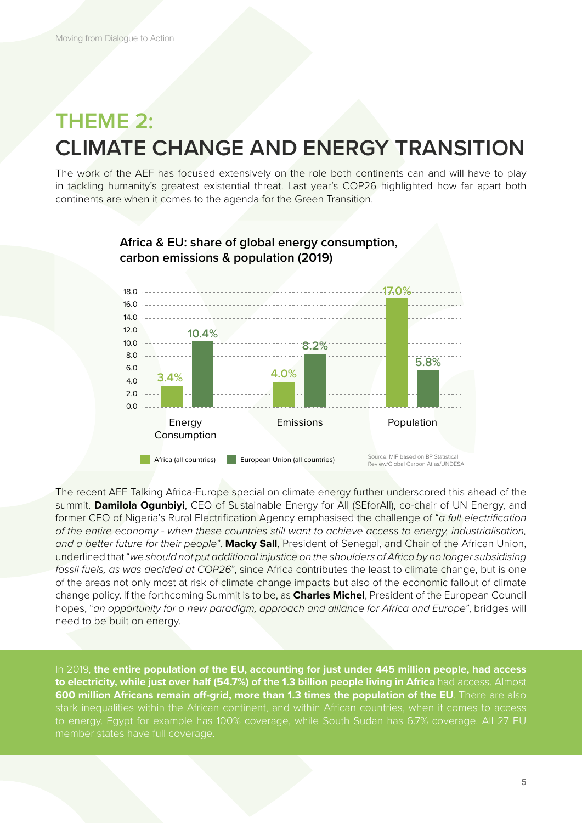## **THEME 2: CLIMATE CHANGE AND ENERGY TRANSITION**

The work of the AEF has focused extensively on the role both continents can and will have to play in tackling humanity's greatest existential threat. Last year's COP26 highlighted how far apart both continents are when it comes to the agenda for the Green Transition.



## **Africa & EU: share of global energy consumption, carbon emissions & population (2019)**

The recent AEF Talking Africa-Europe special on climate energy further underscored this ahead of the summit. **Damilola Ogunbiyi**, CEO of Sustainable Energy for All (SEforAll), co-chair of UN Energy, and former CEO of Nigeria's Rural Electrification Agency emphasised the challenge of "*a full electrification of the entire economy - when these countries still want to achieve access to energy, industrialisation, and a better future for their people*". **Macky Sall**, President of Senegal, and Chair of the African Union, underlined that "*we should not put additional injustice on the shoulders of Africa by no longer subsidising fossil fuels, as was decided at COP26*", since Africa contributes the least to climate change, but is one of the areas not only most at risk of climate change impacts but also of the economic fallout of climate change policy. If the forthcoming Summit is to be, as **Charles Michel**, President of the European Council hopes, "*an opportunity for a new paradigm, approach and alliance for Africa and Europe*", bridges will need to be built on energy.

In 2019, **the entire population of the EU, accounting for just under 445 million people, had access to electricity, while just over half (54.7%) of the 1.3 billion people living in Africa** had access. Almost **600 million Africans remain off-grid, more than 1.3 times the population of the EU**. There are also to energy. Egypt for example has 100% coverage, while South Sudan has 6.7% coverage. All 27 EU member states have full coverage.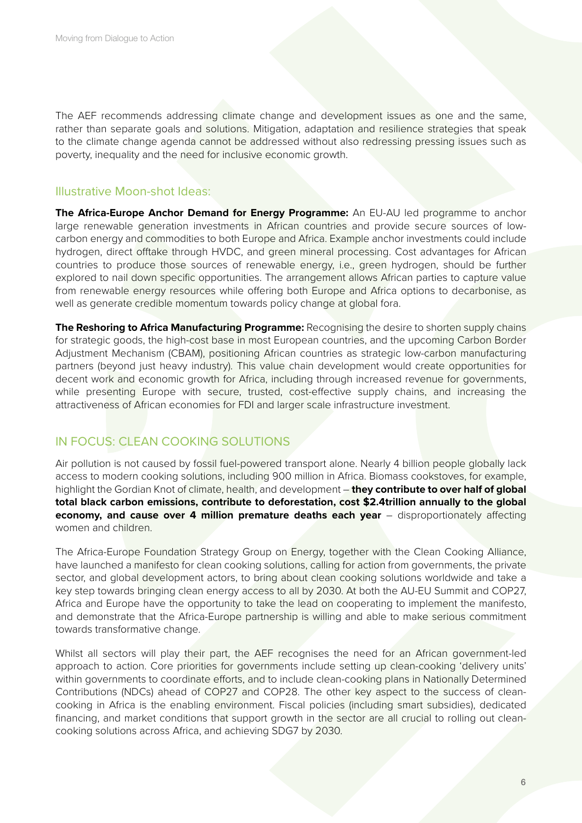The AEF recommends addressing climate change and development issues as one and the same, rather than separate goals and solutions. Mitigation, adaptation and resilience strategies that speak to the climate change agenda cannot be addressed without also redressing pressing issues such as poverty, inequality and the need for inclusive economic growth.

### Illustrative Moon-shot Ideas:

**The Africa-Europe Anchor Demand for Energy Programme:** An EU-AU led programme to anchor large renewable generation investments in African countries and provide secure sources of lowcarbon energy and commodities to both Europe and Africa. Example anchor investments could include hydrogen, direct offtake through HVDC, and green mineral processing. Cost advantages for African countries to produce those sources of renewable energy, i.e., green hydrogen, should be further explored to nail down specific opportunities. The arrangement allows African parties to capture value from renewable energy resources while offering both Europe and Africa options to decarbonise, as well as generate credible momentum towards policy change at global fora.

**The Reshoring to Africa Manufacturing Programme:** Recognising the desire to shorten supply chains for strategic goods, the high-cost base in most European countries, and the upcoming Carbon Border Adjustment Mechanism (CBAM), positioning African countries as strategic low-carbon manufacturing partners (beyond just heavy industry). This value chain development would create opportunities for decent work and economic growth for Africa, including through increased revenue for governments, while presenting Europe with secure, trusted, cost-effective supply chains, and increasing the attractiveness of African economies for FDI and larger scale infrastructure investment.

## IN FOCUS: CLEAN COOKING SOLUTIONS

Air pollution is not caused by fossil fuel-powered transport alone. Nearly 4 billion people globally lack access to modern cooking solutions, including 900 million in Africa. Biomass cookstoves, for example, highlight the Gordian Knot of climate, health, and development – **they contribute to over half of global total black carbon emissions, contribute to deforestation, cost \$2.4trillion annually to the global economy, and cause over 4 million premature deaths each year** – disproportionately affecting women and children.

The Africa-Europe Foundation Strategy Group on Energy, together with the Clean Cooking Alliance, have launched a manifesto for clean cooking solutions, calling for action from governments, the private sector, and global development actors, to bring about clean cooking solutions worldwide and take a key step towards bringing clean energy access to all by 2030. At both the AU-EU Summit and COP27, Africa and Europe have the opportunity to take the lead on cooperating to implement the manifesto, and demonstrate that the Africa-Europe partnership is willing and able to make serious commitment towards transformative change.

Whilst all sectors will play their part, the AEF recognises the need for an African government-led approach to action. Core priorities for governments include setting up clean-cooking 'delivery units' within governments to coordinate efforts, and to include clean-cooking plans in Nationally Determined Contributions (NDCs) ahead of COP27 and COP28. The other key aspect to the success of cleancooking in Africa is the enabling environment. Fiscal policies (including smart subsidies), dedicated financing, and market conditions that support growth in the sector are all crucial to rolling out cleancooking solutions across Africa, and achieving SDG7 by 2030.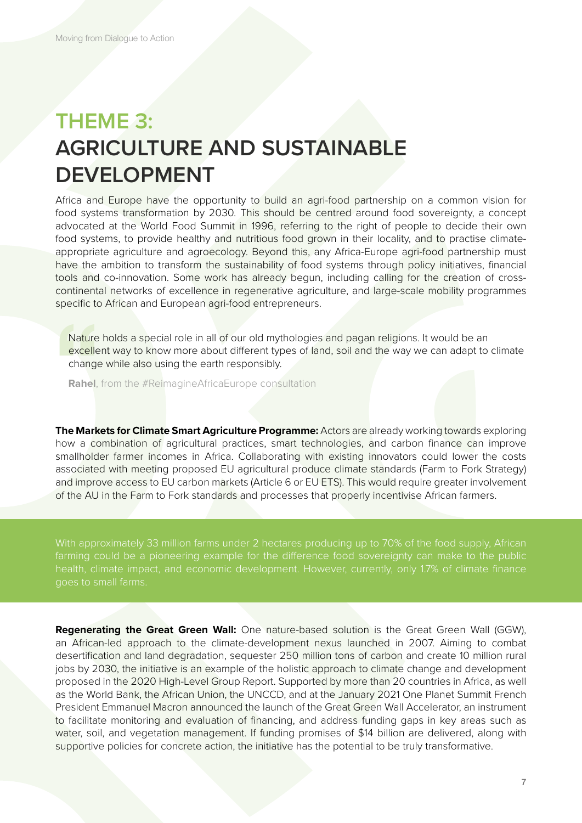# **THEME 3: AGRICULTURE AND SUSTAINABLE DEVELOPMENT**

Africa and Europe have the opportunity to build an agri-food partnership on a common vision for food systems transformation by 2030. This should be centred around food sovereignty, a concept advocated at the World Food Summit in 1996, referring to the right of people to decide their own food systems, to provide healthy and nutritious food grown in their locality, and to practise climateappropriate agriculture and agroecology. Beyond this, any Africa-Europe agri-food partnership must have the ambition to transform the sustainability of food systems through policy initiatives, financial tools and co-innovation. Some work has already begun, including calling for the creation of crosscontinental networks of excellence in regenerative agriculture, and large-scale mobility programmes specific to African and European agri-food entrepreneurs.

Nature<br>
excelle<br>
change<br>
Rahel, Nature holds a special role in all of our old mythologies and pagan religions. It would be an excellent way to know more about different types of land, soil and the way we can adapt to climate change while also using the earth responsibly.

**Rahel**, from the #ReimagineAfricaEurope consultation

**The Markets for Climate Smart Agriculture Programme:** Actors are already working towards exploring how a combination of agricultural practices, smart technologies, and carbon finance can improve smallholder farmer incomes in Africa. Collaborating with existing innovators could lower the costs associated with meeting proposed EU agricultural produce climate standards (Farm to Fork Strategy) and improve access to EU carbon markets (Article 6 or EU ETS). This would require greater involvement of the AU in the Farm to Fork standards and processes that properly incentivise African farmers.

With approximately 33 million farms under 2 hectares producing up to 70% of the food supply, African farming could be a pioneering example for the difference food sovereignty can make to the public

**Regenerating the Great Green Wall:** One nature-based solution is the Great Green Wall (GGW), an African-led approach to the climate-development nexus launched in 2007. Aiming to combat desertification and land degradation, sequester 250 million tons of carbon and create 10 million rural jobs by 2030, the initiative is an example of the holistic approach to climate change and development proposed in the 2020 High-Level Group Report. Supported by more than 20 countries in Africa, as well as the World Bank, the African Union, the UNCCD, and at the January 2021 One Planet Summit French President Emmanuel Macron announced the launch of the Great Green Wall Accelerator, an instrument to facilitate monitoring and evaluation of financing, and address funding gaps in key areas such as water, soil, and vegetation management. If funding promises of \$14 billion are delivered, along with supportive policies for concrete action, the initiative has the potential to be truly transformative.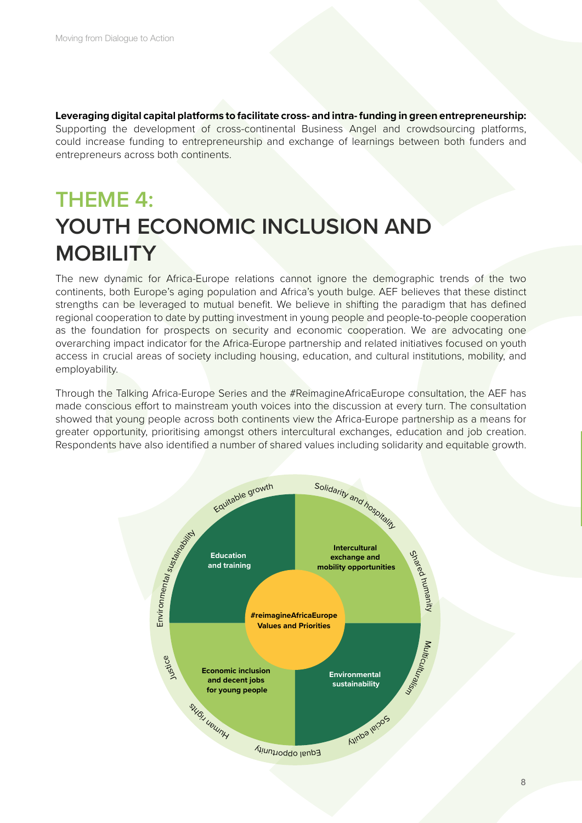**Leveraging digital capital platforms to facilitate cross- and intra- funding in green entrepreneurship:**  Supporting the development of cross-continental Business Angel and crowdsourcing platforms, could increase funding to entrepreneurship and exchange of learnings between both funders and entrepreneurs across both continents.

# **THEME 4: YOUTH ECONOMIC INCLUSION AND MOBILITY**

The new dynamic for Africa-Europe relations cannot ignore the demographic trends of the two continents, both Europe's aging population and Africa's youth bulge. AEF believes that these distinct strengths can be leveraged to mutual benefit. We believe in shifting the paradigm that has defined regional cooperation to date by putting investment in young people and people-to-people cooperation as the foundation for prospects on security and economic cooperation. We are advocating one overarching impact indicator for the Africa-Europe partnership and related initiatives focused on youth access in crucial areas of society including housing, education, and cultural institutions, mobility, and employability.

Through the Talking Africa-Europe Series and the #ReimagineAfricaEurope consultation, the AEF has made conscious effort to mainstream youth voices into the discussion at every turn. The consultation showed that young people across both continents view the Africa-Europe partnership as a means for greater opportunity, prioritising amongst others intercultural exchanges, education and job creation. Respondents have also identified a number of shared values including solidarity and equitable growth.

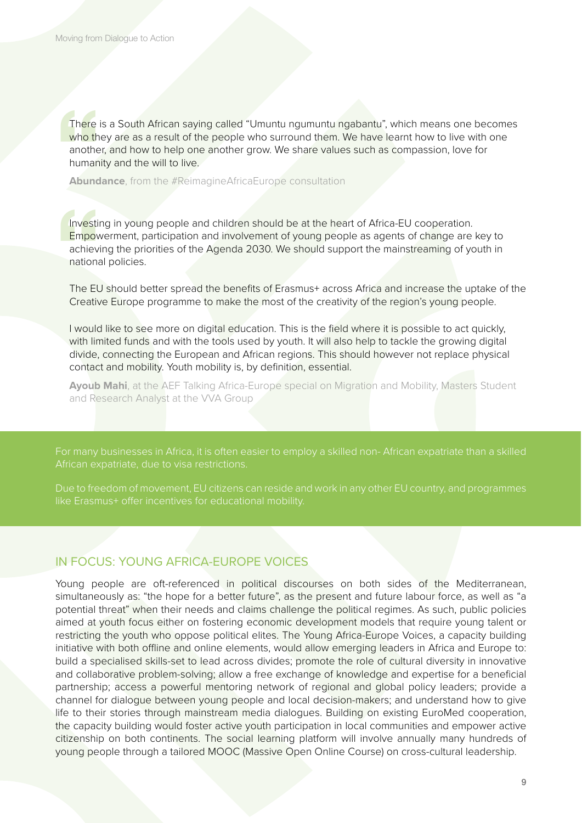There<br>
who th<br>
anothe<br>
human<br>
Abund There is a South African saying called "Umuntu ngumuntu ngabantu", which means one becomes who they are as a result of the people who surround them. We have learnt how to live with one another, and how to help one another grow. We share values such as compassion, love for humanity and the will to live.

**Abundance**, from the #ReimagineAfricaEurope consultation

Investin<br>
Empov<br>
achiev<br>
nationa<br>
The EU Investing in young people and children should be at the heart of Africa-EU cooperation. Empowerment, participation and involvement of young people as agents of change are key to achieving the priorities of the Agenda 2030. We should support the mainstreaming of youth in national policies.

The EU should better spread the benefits of Erasmus+ across Africa and increase the uptake of the Creative Europe programme to make the most of the creativity of the region's young people.

I would like to see more on digital education. This is the field where it is possible to act quickly, with limited funds and with the tools used by youth. It will also help to tackle the growing digital divide, connecting the European and African regions. This should however not replace physical contact and mobility. Youth mobility is, by definition, essential.

**Ayoub Mahi**, at the AEF Talking Africa-Europe special on Migration and Mobility, Masters Student and Research Analyst at the VVA Group

like Erasmus+ offer incentives for educational mobility.

## IN FOCUS: YOUNG AFRICA-EUROPE VOICES

Young people are oft-referenced in political discourses on both sides of the Mediterranean, simultaneously as: "the hope for a better future", as the present and future labour force, as well as "a potential threat" when their needs and claims challenge the political regimes. As such, public policies aimed at youth focus either on fostering economic development models that require young talent or restricting the youth who oppose political elites. The Young Africa-Europe Voices, a capacity building initiative with both offline and online elements, would allow emerging leaders in Africa and Europe to: build a specialised skills-set to lead across divides; promote the role of cultural diversity in innovative and collaborative problem-solving; allow a free exchange of knowledge and expertise for a beneficial partnership; access a powerful mentoring network of regional and global policy leaders; provide a channel for dialogue between young people and local decision-makers; and understand how to give life to their stories through mainstream media dialogues. Building on existing EuroMed cooperation, the capacity building would foster active youth participation in local communities and empower active citizenship on both continents. The social learning platform will involve annually many hundreds of young people through a tailored MOOC (Massive Open Online Course) on cross-cultural leadership.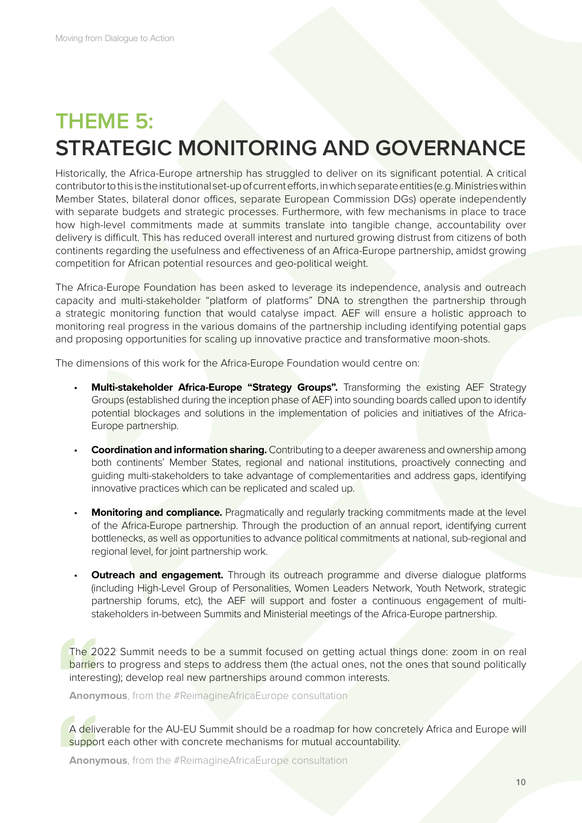# **THEME 5: STRATEGIC MONITORING AND GOVERNANCE**

Historically, the Africa-Europe artnership has struggled to deliver on its significant potential. A critical contributor to this is the institutional set-up of current efforts, in which separate entities (e.g. Ministries within Member States, bilateral donor offices, separate European Commission DGs) operate independently with separate budgets and strategic processes. Furthermore, with few mechanisms in place to trace how high-level commitments made at summits translate into tangible change, accountability over delivery is difficult. This has reduced overall interest and nurtured growing distrust from citizens of both continents regarding the usefulness and effectiveness of an Africa-Europe partnership, amidst growing competition for African potential resources and geo-political weight.

The Africa-Europe Foundation has been asked to leverage its independence, analysis and outreach capacity and multi-stakeholder "platform of platforms" DNA to strengthen the partnership through a strategic monitoring function that would catalyse impact. AEF will ensure a holistic approach to monitoring real progress in the various domains of the partnership including identifying potential gaps and proposing opportunities for scaling up innovative practice and transformative moon-shots.

The dimensions of this work for the Africa-Europe Foundation would centre on:

- **Multi-stakeholder Africa-Europe "Strategy Groups".** Transforming the existing AEF Strategy Groups (established during the inception phase of AEF) into sounding boards called upon to identify potential blockages and solutions in the implementation of policies and initiatives of the Africa-Europe partnership.
- **Coordination and information sharing.** Contributing to a deeper awareness and ownership among both continents' Member States, regional and national institutions, proactively connecting and guiding multi-stakeholders to take advantage of complementarities and address gaps, identifying innovative practices which can be replicated and scaled up.
- **Monitoring and compliance.** Pragmatically and regularly tracking commitments made at the level of the Africa-Europe partnership. Through the production of an annual report, identifying current bottlenecks, as well as opportunities to advance political commitments at national, sub-regional and regional level, for joint partnership work.
- **Outreach and engagement.** Through its outreach programme and diverse dialogue platforms (including High-Level Group of Personalities, Women Leaders Network, Youth Network, strategic partnership forums, etc), the AEF will support and foster a continuous engagement of multistakeholders in-between Summits and Ministerial meetings of the Africa-Europe partnership.

The 20<br>
barrier:<br>
interes<br>
Anony The 2022 Summit needs to be a summit focused on getting actual things done: zoom in on real barriers to progress and steps to address them (the actual ones, not the ones that sound politically interesting); develop real new partnerships around common interests.

**Anonymous**, from the #ReimagineAfricaEurope consultation

A deliv<br>
suppor<br>
Anony A deliverable for the AU-EU Summit should be a roadmap for how concretely Africa and Europe will support each other with concrete mechanisms for mutual accountability.

**Anonymous**, from the #ReimagineAfricaEurope consultation